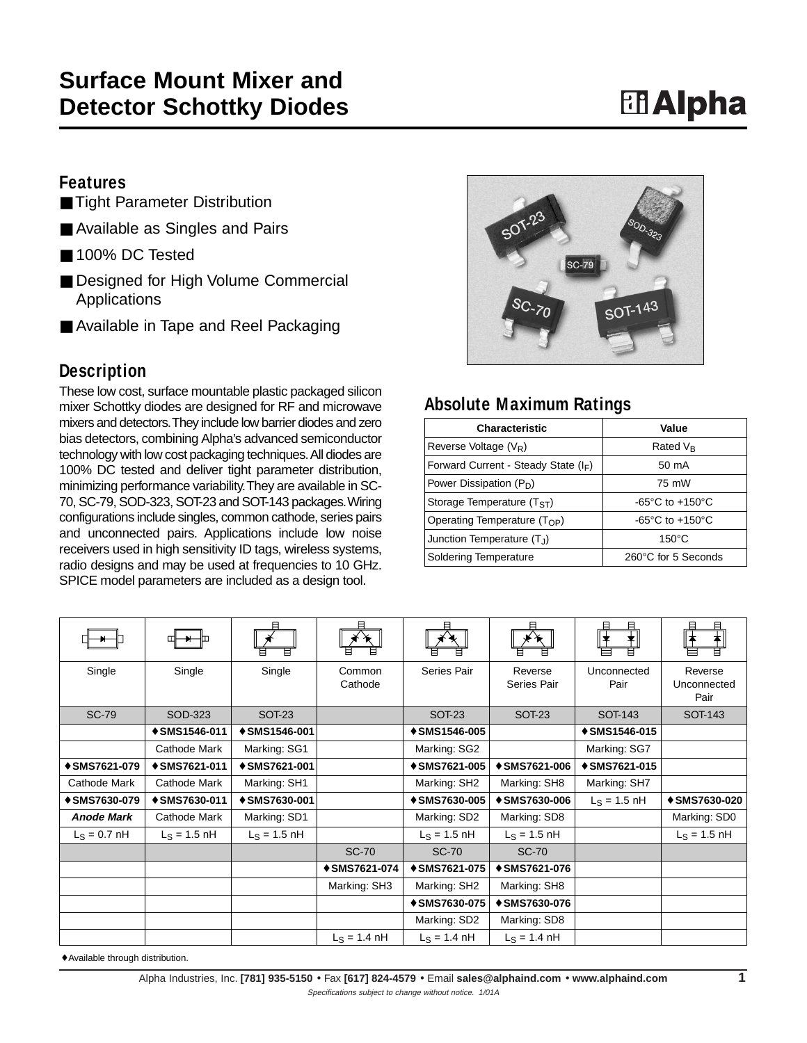## **Features**

- Tight Parameter Distribution
- Available as Singles and Pairs
- 100% DC Tested
- Designed for High Volume Commercial **Applications**
- Available in Tape and Reel Packaging

## **Description**

These low cost, surface mountable plastic packaged silicon mixer Schottky diodes are designed for RF and microwave mixers and detectors.They include low barrier diodes and zero bias detectors, combining Alpha's advanced semiconductor technology with low cost packaging techniques.All diodes are 100% DC tested and deliver tight parameter distribution, minimizing performance variability.They are available in SC-70, SC-79, SOD-323, SOT-23 and SOT-143 packages.Wiring configurations include singles, common cathode, series pairs and unconnected pairs. Applications include low noise receivers used in high sensitivity ID tags, wireless systems, radio designs and may be used at frequencies to 10 GHz. SPICE model parameters are included as a design tool.



## **Absolute Maximum Ratings**

| <b>Characteristic</b>                  | Value                                 |  |  |
|----------------------------------------|---------------------------------------|--|--|
| Reverse Voltage $(V_R)$                | Rated V <sub>R</sub>                  |  |  |
| Forward Current - Steady State $(I_F)$ | 50 mA                                 |  |  |
| Power Dissipation (P <sub>D</sub> )    | 75 mW                                 |  |  |
| Storage Temperature $(TST)$            | -65 $^{\circ}$ C to +150 $^{\circ}$ C |  |  |
| Operating Temperature $(T_{OP})$       | -65 $^{\circ}$ C to +150 $^{\circ}$ C |  |  |
| Junction Temperature (TJ)              | $150^{\circ}$ C                       |  |  |
| <b>Soldering Temperature</b>           | 260°C for 5 Seconds                   |  |  |

|                      |                | 目                    |                        | 曰                      | 日                      | 且<br>┪<br>⇟          | 曰<br>曰                         |
|----------------------|----------------|----------------------|------------------------|------------------------|------------------------|----------------------|--------------------------------|
| Single               | Single         | Single               | Common<br>Cathode      | Series Pair            | Reverse<br>Series Pair | Unconnected<br>Pair  | Reverse<br>Unconnected<br>Pair |
| <b>SC-79</b>         | SOD-323        | SOT-23               |                        | SOT <sub>23</sub>      | <b>SOT-23</b>          | SOT-143              | SOT-143                        |
|                      | + SMS1546-011  | <b>↑ SMS1546-001</b> |                        | <b>↑ SMS1546-005</b>   |                        | <b>↑ SMS1546-015</b> |                                |
|                      | Cathode Mark   | Marking: SG1         |                        | Marking: SG2           |                        | Marking: SG7         |                                |
| <b>↑ SMS7621-079</b> | + SMS7621-011  | + SMS7621-001        |                        | <b>↑ SMS7621-005</b>   | ↑ SMS7621-006          | <b>↑ SMS7621-015</b> |                                |
| Cathode Mark         | Cathode Mark   | Marking: SH1         |                        | Marking: SH2           | Marking: SH8           | Marking: SH7         |                                |
| <b>↑ SMS7630-079</b> | + SMS7630-011  | + SMS7630-001        |                        | <b>↑ SMS7630-005</b>   | <b>↑ SMS7630-006</b>   | $L_S = 1.5$ nH       | + SMS7630-020                  |
| <b>Anode Mark</b>    | Cathode Mark   | Marking: SD1         |                        | Marking: SD2           | Marking: SD8           |                      | Marking: SD0                   |
| $L_S = 0.7$ nH       | $L_S = 1.5$ nH | $L_S = 1.5$ nH       |                        | $L_S = 1.5$ nH         | $L_S = 1.5$ nH         |                      | $L_S = 1.5$ nH                 |
|                      |                |                      | <b>SC-70</b>           | <b>SC-70</b>           | <b>SC-70</b>           |                      |                                |
|                      |                |                      | ↑ SMS7621-074          | <b>↑ SMS7621-075</b>   | ↑ SMS7621-076          |                      |                                |
|                      |                |                      | Marking: SH3           | Marking: SH2           | Marking: SH8           |                      |                                |
|                      |                |                      |                        | <b>↑ SMS7630-075</b>   | ↑ SMS7630-076          |                      |                                |
|                      |                |                      |                        | Marking: SD2           | Marking: SD8           |                      |                                |
|                      |                |                      | $L_S = 1.4 \text{ nH}$ | $L_S = 1.4 \text{ nH}$ | $L_S = 1.4 \text{ nH}$ |                      |                                |

♦ Available through distribution.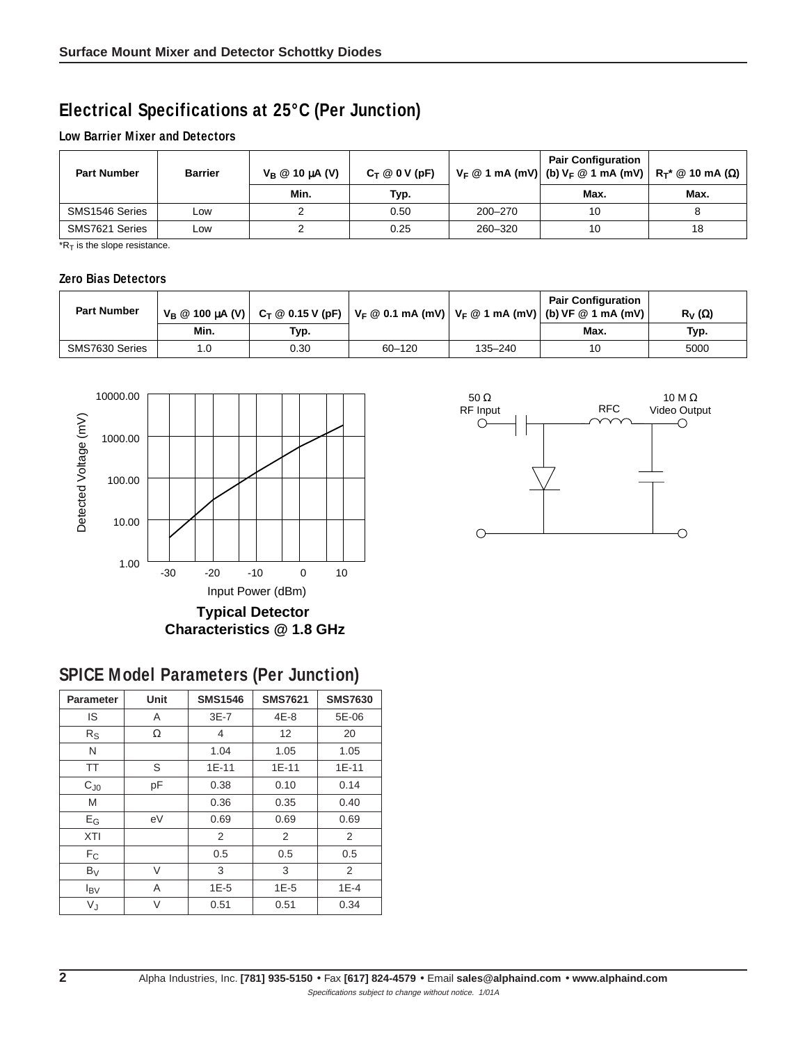## **Electrical Specifications at 25°C (Per Junction)**

#### **Low Barrier Mixer and Detectors**

| <b>Part Number</b> | <b>Barrier</b> | $V_B \otimes 10 \mu A$ (V) | $C_T @ 0 V (pF)$ |         | <b>Pair Configuration</b><br>$V_F \t{Q}$ 1 mA (mV) (b) $V_F \t{Q}$ 1 mA (mV) $R_T^* \t{Q}$ 10 mA (Ω) $ $ |      |
|--------------------|----------------|----------------------------|------------------|---------|----------------------------------------------------------------------------------------------------------|------|
|                    |                | Min.                       | Typ.             |         | Max.                                                                                                     | Max. |
| SMS1546 Series     | ∟OW            |                            | 0.50             | 200-270 | 10                                                                                                       |      |
| SMS7621 Series     | ∟ow            |                            | 0.25             | 260-320 | 10                                                                                                       | 18   |

 $*R_T$  is the slope resistance.

#### **Zero Bias Detectors**

| <b>Part Number</b> |      |      |            |         | <b>Pair Configuration</b><br>$V_B \otimes 100 \mu A (V)$ $C_T \otimes 0.15 V (pF)$ $V_F \otimes 0.1$ mA (mV) $V_F \otimes 1$ mA (mV) (b) VF $\otimes 1$ mA (mV) | $R_V(\Omega)$ |
|--------------------|------|------|------------|---------|-----------------------------------------------------------------------------------------------------------------------------------------------------------------|---------------|
|                    | Min. | Tур. |            |         | Max.                                                                                                                                                            | Typ.          |
| SMS7630 Series     |      | 0.30 | $60 - 120$ | 135-240 | 10                                                                                                                                                              | 5000          |



# **SPICE Model Parameters (Per Junction)**

| <b>Parameter</b>          | Unit | <b>SMS1546</b> | <b>SMS7621</b> | <b>SMS7630</b> |
|---------------------------|------|----------------|----------------|----------------|
| IS                        | A    | $3E-7$         | $4E-8$         | 5E-06          |
| $R_{\rm S}$               | Ω    | 4              | 12             | 20             |
| N                         |      | 1.04           | 1.05           | 1.05           |
| <b>TT</b>                 | S    | $1E-11$        | 1E-11          | $1E-11$        |
| $C_{J0}$                  | рF   | 0.38           | 0.10           | 0.14           |
| M                         |      | 0.36           | 0.35           | 0.40           |
| $\mathsf{E}_{\mathsf{G}}$ | eV   | 0.69           | 0.69           | 0.69           |
| <b>XTI</b>                |      | $\overline{2}$ | 2              | 2              |
| $F_C$                     |      | 0.5            | 0.5            | 0.5            |
| $B_V$                     | V    | 3              | 3              | 2              |
| $I_{\text{BV}}$           | A    | $1E-5$         | $1E-5$         | $1E-4$         |
| VJ                        | V    | 0.51           | 0.51           | 0.34           |